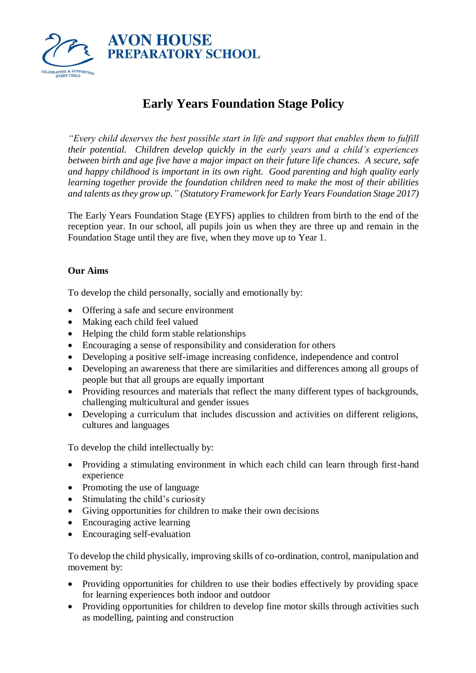

# **Early Years Foundation Stage Policy**

*"Every child deserves the best possible start in life and support that enables them to fulfill their potential. Children develop quickly in the early years and a child's experiences between birth and age five have a major impact on their future life chances. A secure, safe and happy childhood is important in its own right. Good parenting and high quality early learning together provide the foundation children need to make the most of their abilities and talents as they grow up." (Statutory Framework for Early Years Foundation Stage 2017)*

The Early Years Foundation Stage (EYFS) applies to children from birth to the end of the reception year. In our school, all pupils join us when they are three up and remain in the Foundation Stage until they are five, when they move up to Year 1.

# **Our Aims**

To develop the child personally, socially and emotionally by:

- Offering a safe and secure environment
- Making each child feel valued
- Helping the child form stable relationships
- Encouraging a sense of responsibility and consideration for others
- Developing a positive self-image increasing confidence, independence and control
- Developing an awareness that there are similarities and differences among all groups of people but that all groups are equally important
- Providing resources and materials that reflect the many different types of backgrounds, challenging multicultural and gender issues
- Developing a curriculum that includes discussion and activities on different religions, cultures and languages

To develop the child intellectually by:

- Providing a stimulating environment in which each child can learn through first-hand experience
- Promoting the use of language
- Stimulating the child's curiosity
- Giving opportunities for children to make their own decisions
- Encouraging active learning
- Encouraging self-evaluation

To develop the child physically, improving skills of co-ordination, control, manipulation and movement by:

- Providing opportunities for children to use their bodies effectively by providing space for learning experiences both indoor and outdoor
- Providing opportunities for children to develop fine motor skills through activities such as modelling, painting and construction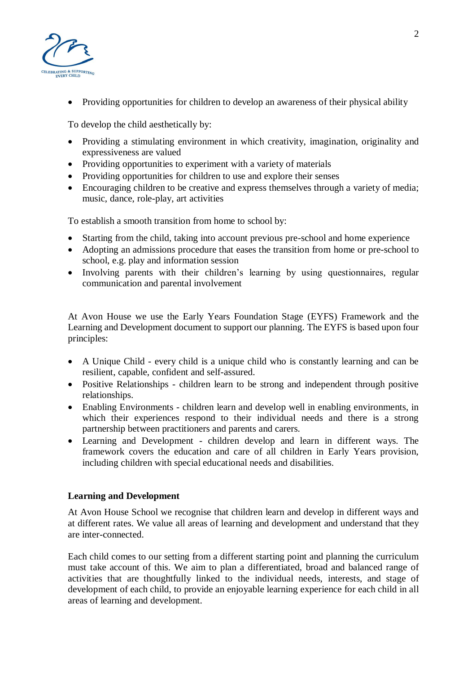

• Providing opportunities for children to develop an awareness of their physical ability

To develop the child aesthetically by:

- Providing a stimulating environment in which creativity, imagination, originality and expressiveness are valued
- Providing opportunities to experiment with a variety of materials
- Providing opportunities for children to use and explore their senses
- Encouraging children to be creative and express themselves through a variety of media; music, dance, role-play, art activities

To establish a smooth transition from home to school by:

- Starting from the child, taking into account previous pre-school and home experience
- Adopting an admissions procedure that eases the transition from home or pre-school to school, e.g. play and information session
- Involving parents with their children's learning by using questionnaires, regular communication and parental involvement

At Avon House we use the Early Years Foundation Stage (EYFS) Framework and the Learning and Development document to support our planning. The EYFS is based upon four principles:

- A Unique Child every child is a unique child who is constantly learning and can be resilient, capable, confident and self-assured.
- Positive Relationships children learn to be strong and independent through positive relationships.
- Enabling Environments children learn and develop well in enabling environments, in which their experiences respond to their individual needs and there is a strong partnership between practitioners and parents and carers.
- Learning and Development children develop and learn in different ways. The framework covers the education and care of all children in Early Years provision, including children with special educational needs and disabilities.

# **Learning and Development**

At Avon House School we recognise that children learn and develop in different ways and at different rates. We value all areas of learning and development and understand that they are inter-connected.

Each child comes to our setting from a different starting point and planning the curriculum must take account of this. We aim to plan a differentiated, broad and balanced range of activities that are thoughtfully linked to the individual needs, interests, and stage of development of each child, to provide an enjoyable learning experience for each child in all areas of learning and development.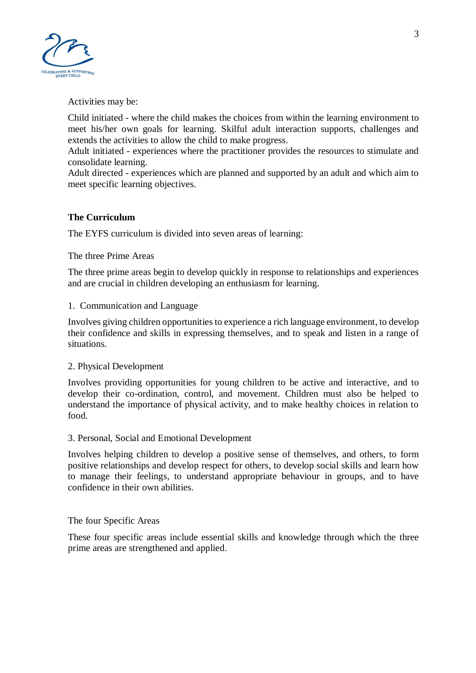

Activities may be:

Child initiated - where the child makes the choices from within the learning environment to meet his/her own goals for learning. Skilful adult interaction supports, challenges and extends the activities to allow the child to make progress.

Adult initiated - experiences where the practitioner provides the resources to stimulate and consolidate learning.

Adult directed - experiences which are planned and supported by an adult and which aim to meet specific learning objectives.

# **The Curriculum**

The EYFS curriculum is divided into seven areas of learning:

## The three Prime Areas

The three prime areas begin to develop quickly in response to relationships and experiences and are crucial in children developing an enthusiasm for learning.

## 1. Communication and Language

Involves giving children opportunities to experience a rich language environment, to develop their confidence and skills in expressing themselves, and to speak and listen in a range of situations.

## 2. Physical Development

Involves providing opportunities for young children to be active and interactive, and to develop their co-ordination, control, and movement. Children must also be helped to understand the importance of physical activity, and to make healthy choices in relation to food.

# 3. Personal, Social and Emotional Development

Involves helping children to develop a positive sense of themselves, and others, to form positive relationships and develop respect for others, to develop social skills and learn how to manage their feelings, to understand appropriate behaviour in groups, and to have confidence in their own abilities.

# The four Specific Areas

These four specific areas include essential skills and knowledge through which the three prime areas are strengthened and applied.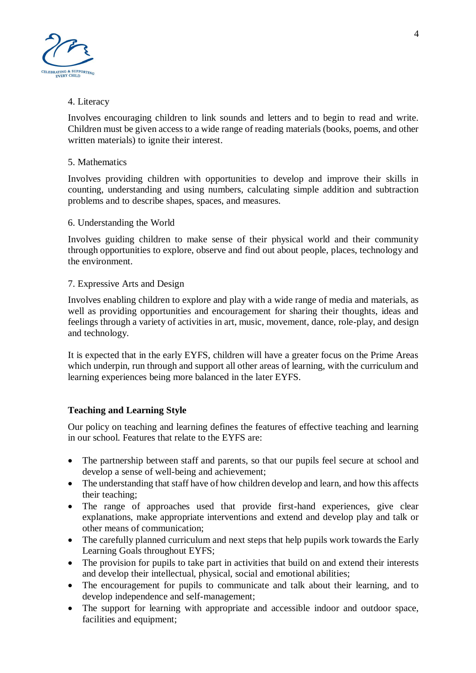

## 4. Literacy

Involves encouraging children to link sounds and letters and to begin to read and write. Children must be given access to a wide range of reading materials (books, poems, and other written materials) to ignite their interest.

## 5. Mathematics

Involves providing children with opportunities to develop and improve their skills in counting, understanding and using numbers, calculating simple addition and subtraction problems and to describe shapes, spaces, and measures.

## 6. Understanding the World

Involves guiding children to make sense of their physical world and their community through opportunities to explore, observe and find out about people, places, technology and the environment.

## 7. Expressive Arts and Design

Involves enabling children to explore and play with a wide range of media and materials, as well as providing opportunities and encouragement for sharing their thoughts, ideas and feelings through a variety of activities in art, music, movement, dance, role-play, and design and technology.

It is expected that in the early EYFS, children will have a greater focus on the Prime Areas which underpin, run through and support all other areas of learning, with the curriculum and learning experiences being more balanced in the later EYFS.

# **Teaching and Learning Style**

Our policy on teaching and learning defines the features of effective teaching and learning in our school. Features that relate to the EYFS are:

- The partnership between staff and parents, so that our pupils feel secure at school and develop a sense of well-being and achievement;
- The understanding that staff have of how children develop and learn, and how this affects their teaching;
- The range of approaches used that provide first-hand experiences, give clear explanations, make appropriate interventions and extend and develop play and talk or other means of communication;
- The carefully planned curriculum and next steps that help pupils work towards the Early Learning Goals throughout EYFS;
- The provision for pupils to take part in activities that build on and extend their interests and develop their intellectual, physical, social and emotional abilities;
- The encouragement for pupils to communicate and talk about their learning, and to develop independence and self-management;
- The support for learning with appropriate and accessible indoor and outdoor space, facilities and equipment;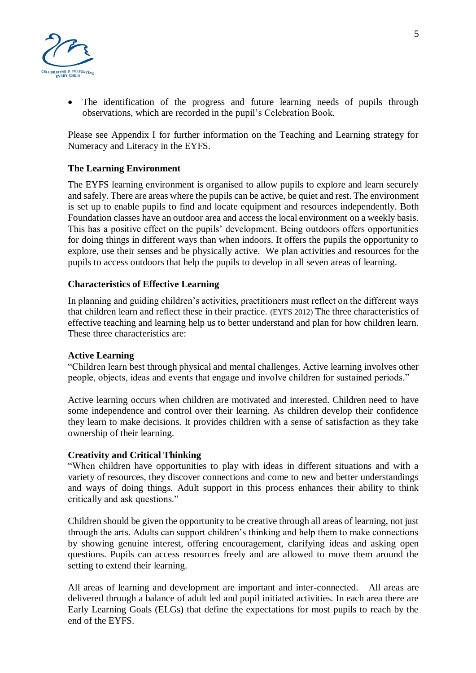

The identification of the progress and future learning needs of pupils through observations, which are recorded in the pupil's Celebration Book.

Please see Appendix I for further information on the Teaching and Learning strategy for Numeracy and Literacy in the EYFS.

## **The Learning Environment**

The EYFS learning environment is organised to allow pupils to explore and learn securely and safely. There are areas where the pupils can be active, be quiet and rest. The environment is set up to enable pupils to find and locate equipment and resources independently. Both Foundation classes have an outdoor area and access the local environment on a weekly basis. This has a positive effect on the pupils' development. Being outdoors offers opportunities for doing things in different ways than when indoors. It offers the pupils the opportunity to explore, use their senses and be physically active. We plan activities and resources for the pupils to access outdoors that help the pupils to develop in all seven areas of learning.

## **Characteristics of Effective Learning**

In planning and guiding children's activities, practitioners must reflect on the different ways that children learn and reflect these in their practice. (EYFS 2012) The three characteristics of effective teaching and learning help us to better understand and plan for how children learn. These three characteristics are:

## **Active Learning**

"Children learn best through physical and mental challenges. Active learning involves other people, objects, ideas and events that engage and involve children for sustained periods."

Active learning occurs when children are motivated and interested. Children need to have some independence and control over their learning. As children develop their confidence they learn to make decisions. It provides children with a sense of satisfaction as they take ownership of their learning.

## **Creativity and Critical Thinking**

"When children have opportunities to play with ideas in different situations and with a variety of resources, they discover connections and come to new and better understandings and ways of doing things. Adult support in this process enhances their ability to think critically and ask questions."

Children should be given the opportunity to be creative through all areas of learning, not just through the arts. Adults can support children's thinking and help them to make connections by showing genuine interest, offering encouragement, clarifying ideas and asking open questions. Pupils can access resources freely and are allowed to move them around the setting to extend their learning.

All areas of learning and development are important and inter-connected. All areas are delivered through a balance of adult led and pupil initiated activities. In each area there are Early Learning Goals (ELGs) that define the expectations for most pupils to reach by the end of the EYFS.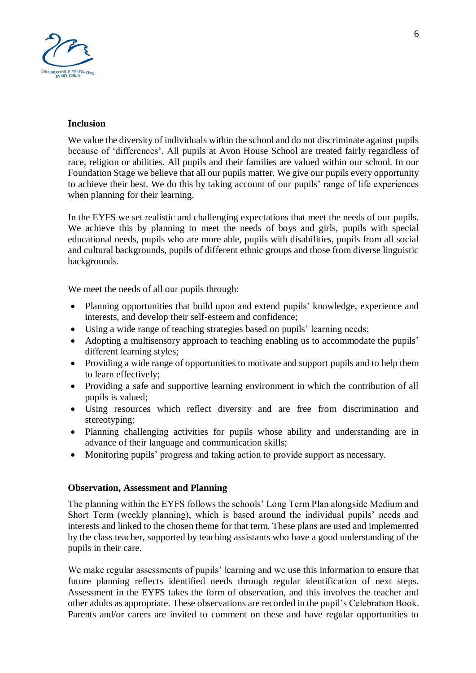

#### **Inclusion**

We value the diversity of individuals within the school and do not discriminate against pupils because of 'differences'. All pupils at Avon House School are treated fairly regardless of race, religion or abilities. All pupils and their families are valued within our school. In our Foundation Stage we believe that all our pupils matter. We give our pupils every opportunity to achieve their best. We do this by taking account of our pupils' range of life experiences when planning for their learning.

In the EYFS we set realistic and challenging expectations that meet the needs of our pupils. We achieve this by planning to meet the needs of boys and girls, pupils with special educational needs, pupils who are more able, pupils with disabilities, pupils from all social and cultural backgrounds, pupils of different ethnic groups and those from diverse linguistic backgrounds.

We meet the needs of all our pupils through:

- Planning opportunities that build upon and extend pupils' knowledge, experience and interests, and develop their self-esteem and confidence;
- Using a wide range of teaching strategies based on pupils' learning needs;
- Adopting a multisensory approach to teaching enabling us to accommodate the pupils' different learning styles;
- Providing a wide range of opportunities to motivate and support pupils and to help them to learn effectively;
- Providing a safe and supportive learning environment in which the contribution of all pupils is valued;
- Using resources which reflect diversity and are free from discrimination and stereotyping;
- Planning challenging activities for pupils whose ability and understanding are in advance of their language and communication skills;
- Monitoring pupils' progress and taking action to provide support as necessary.

# **Observation, Assessment and Planning**

The planning within the EYFS follows the schools' Long Term Plan alongside Medium and Short Term (weekly planning), which is based around the individual pupils' needs and interests and linked to the chosen theme for that term. These plans are used and implemented by the class teacher, supported by teaching assistants who have a good understanding of the pupils in their care.

We make regular assessments of pupils' learning and we use this information to ensure that future planning reflects identified needs through regular identification of next steps. Assessment in the EYFS takes the form of observation, and this involves the teacher and other adults as appropriate. These observations are recorded in the pupil's Celebration Book. Parents and/or carers are invited to comment on these and have regular opportunities to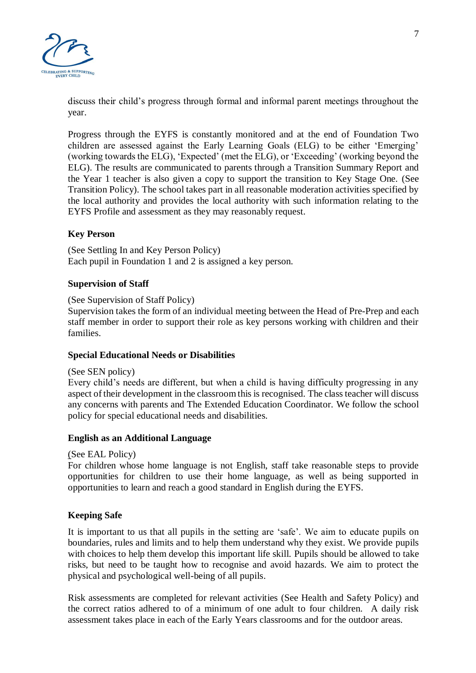

discuss their child's progress through formal and informal parent meetings throughout the year.

Progress through the EYFS is constantly monitored and at the end of Foundation Two children are assessed against the Early Learning Goals (ELG) to be either 'Emerging' (working towards the ELG), 'Expected' (met the ELG), or 'Exceeding' (working beyond the ELG). The results are communicated to parents through a Transition Summary Report and the Year 1 teacher is also given a copy to support the transition to Key Stage One. (See Transition Policy). The school takes part in all reasonable moderation activities specified by the local authority and provides the local authority with such information relating to the EYFS Profile and assessment as they may reasonably request.

## **Key Person**

(See Settling In and Key Person Policy) Each pupil in Foundation 1 and 2 is assigned a key person.

## **Supervision of Staff**

(See Supervision of Staff Policy)

Supervision takes the form of an individual meeting between the Head of Pre-Prep and each staff member in order to support their role as key persons working with children and their families.

## **Special Educational Needs or Disabilities**

(See SEN policy)

Every child's needs are different, but when a child is having difficulty progressing in any aspect of their development in the classroom this is recognised. The class teacher will discuss any concerns with parents and The Extended Education Coordinator. We follow the school policy for special educational needs and disabilities.

#### **English as an Additional Language**

#### (See EAL Policy)

For children whose home language is not English, staff take reasonable steps to provide opportunities for children to use their home language, as well as being supported in opportunities to learn and reach a good standard in English during the EYFS.

## **Keeping Safe**

It is important to us that all pupils in the setting are 'safe'. We aim to educate pupils on boundaries, rules and limits and to help them understand why they exist. We provide pupils with choices to help them develop this important life skill. Pupils should be allowed to take risks, but need to be taught how to recognise and avoid hazards. We aim to protect the physical and psychological well-being of all pupils.

Risk assessments are completed for relevant activities (See Health and Safety Policy) and the correct ratios adhered to of a minimum of one adult to four children. A daily risk assessment takes place in each of the Early Years classrooms and for the outdoor areas.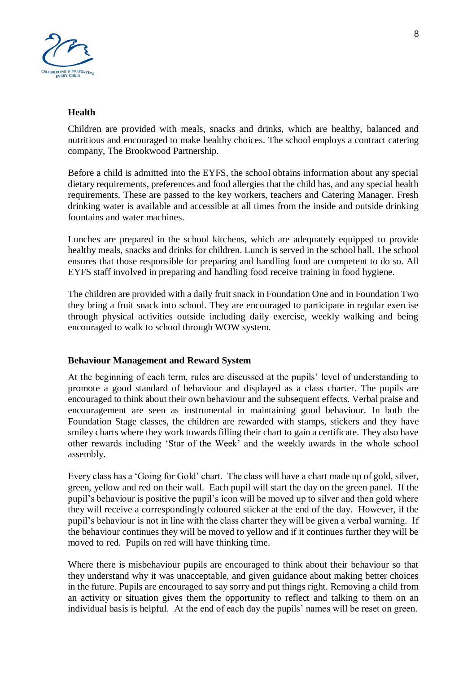

#### **Health**

Children are provided with meals, snacks and drinks, which are healthy, balanced and nutritious and encouraged to make healthy choices. The school employs a contract catering company, The Brookwood Partnership.

Before a child is admitted into the EYFS, the school obtains information about any special dietary requirements, preferences and food allergies that the child has, and any special health requirements. These are passed to the key workers, teachers and Catering Manager. Fresh drinking water is available and accessible at all times from the inside and outside drinking fountains and water machines.

Lunches are prepared in the school kitchens, which are adequately equipped to provide healthy meals, snacks and drinks for children. Lunch is served in the school hall. The school ensures that those responsible for preparing and handling food are competent to do so. All EYFS staff involved in preparing and handling food receive training in food hygiene.

The children are provided with a daily fruit snack in Foundation One and in Foundation Two they bring a fruit snack into school. They are encouraged to participate in regular exercise through physical activities outside including daily exercise, weekly walking and being encouraged to walk to school through WOW system.

## **Behaviour Management and Reward System**

At the beginning of each term, rules are discussed at the pupils' level of understanding to promote a good standard of behaviour and displayed as a class charter. The pupils are encouraged to think about their own behaviour and the subsequent effects. Verbal praise and encouragement are seen as instrumental in maintaining good behaviour. In both the Foundation Stage classes, the children are rewarded with stamps, stickers and they have smiley charts where they work towards filling their chart to gain a certificate. They also have other rewards including 'Star of the Week' and the weekly awards in the whole school assembly.

Every class has a 'Going for Gold' chart. The class will have a chart made up of gold, silver, green, yellow and red on their wall. Each pupil will start the day on the green panel. If the pupil's behaviour is positive the pupil's icon will be moved up to silver and then gold where they will receive a correspondingly coloured sticker at the end of the day. However, if the pupil's behaviour is not in line with the class charter they will be given a verbal warning. If the behaviour continues they will be moved to yellow and if it continues further they will be moved to red. Pupils on red will have thinking time.

Where there is misbehaviour pupils are encouraged to think about their behaviour so that they understand why it was unacceptable, and given guidance about making better choices in the future. Pupils are encouraged to say sorry and put things right. Removing a child from an activity or situation gives them the opportunity to reflect and talking to them on an individual basis is helpful. At the end of each day the pupils' names will be reset on green.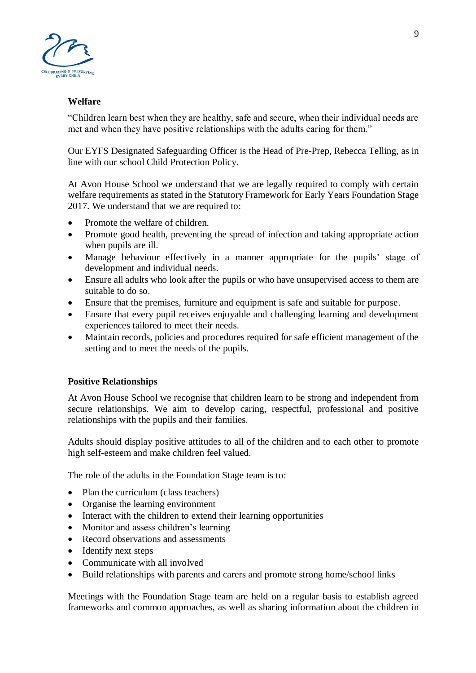

## **Welfare**

"Children learn best when they are healthy, safe and secure, when their individual needs are met and when they have positive relationships with the adults caring for them."

Our EYFS Designated Safeguarding Officer is the Head of Pre-Prep, Rebecca Telling, as in line with our school Child Protection Policy.

At Avon House School we understand that we are legally required to comply with certain welfare requirements as stated in the Statutory Framework for Early Years Foundation Stage 2017. We understand that we are required to:

- Promote the welfare of children.
- Promote good health, preventing the spread of infection and taking appropriate action when pupils are ill.
- Manage behaviour effectively in a manner appropriate for the pupils' stage of development and individual needs.
- Ensure all adults who look after the pupils or who have unsupervised access to them are suitable to do so.
- Ensure that the premises, furniture and equipment is safe and suitable for purpose.
- Ensure that every pupil receives enjoyable and challenging learning and development experiences tailored to meet their needs.
- Maintain records, policies and procedures required for safe efficient management of the setting and to meet the needs of the pupils.

# **Positive Relationships**

At Avon House School we recognise that children learn to be strong and independent from secure relationships. We aim to develop caring, respectful, professional and positive relationships with the pupils and their families.

Adults should display positive attitudes to all of the children and to each other to promote high self-esteem and make children feel valued.

The role of the adults in the Foundation Stage team is to:

- Plan the curriculum (class teachers)
- Organise the learning environment
- Interact with the children to extend their learning opportunities
- Monitor and assess children's learning
- Record observations and assessments
- Identify next steps
- Communicate with all involved
- Build relationships with parents and carers and promote strong home/school links

Meetings with the Foundation Stage team are held on a regular basis to establish agreed frameworks and common approaches, as well as sharing information about the children in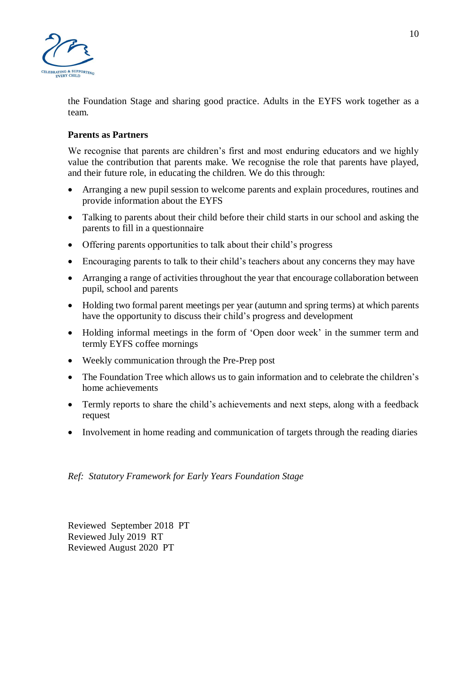

the Foundation Stage and sharing good practice. Adults in the EYFS work together as a team.

## **Parents as Partners**

We recognise that parents are children's first and most enduring educators and we highly value the contribution that parents make. We recognise the role that parents have played, and their future role, in educating the children. We do this through:

- Arranging a new pupil session to welcome parents and explain procedures, routines and provide information about the EYFS
- Talking to parents about their child before their child starts in our school and asking the parents to fill in a questionnaire
- Offering parents opportunities to talk about their child's progress
- Encouraging parents to talk to their child's teachers about any concerns they may have
- Arranging a range of activities throughout the year that encourage collaboration between pupil, school and parents
- Holding two formal parent meetings per year (autumn and spring terms) at which parents have the opportunity to discuss their child's progress and development
- Holding informal meetings in the form of 'Open door week' in the summer term and termly EYFS coffee mornings
- Weekly communication through the Pre-Prep post
- The Foundation Tree which allows us to gain information and to celebrate the children's home achievements
- Termly reports to share the child's achievements and next steps, along with a feedback request
- Involvement in home reading and communication of targets through the reading diaries

## *Ref: Statutory Framework for Early Years Foundation Stage*

Reviewed September 2018 PT Reviewed July 2019 RT Reviewed August 2020 PT